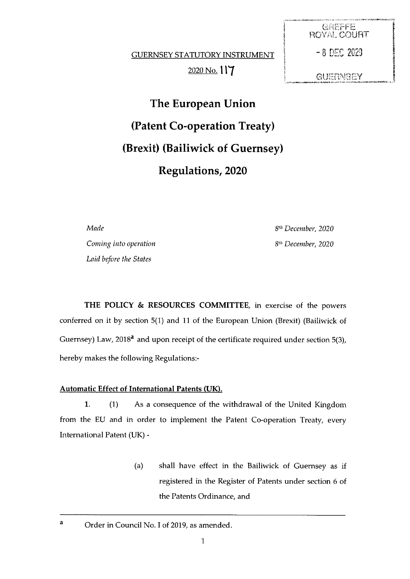**GUERNSEY STATUTORY INSTRUMENT** 2020 No. 117 GUERNSEY

**GREFFE** ROYAL. COURT  $-8$  DEC 2020

The European Union (Patent Co-operation Treaty) (Brexit) (Bailiwick of Guernsey) Regulations, 2020

Made 8th December, 2020

Coming into operation and the community of the S<sup>th</sup> December, 2020 Laid before the States

THE POLICY & RESOURCES COMMITTEE, in exercise of the powers conferred on it by section 5(1) and 11 of the European Union (Brexit) (Bailiwick of Guernsey) Law,  $2018<sup>a</sup>$  and upon receipt of the certificate required under section 5(3), hereby makes the following Regulations:

## Automatic Effect of International Patents (UK).

1. (1) As a consequence of the withdrawal of the United Kingdom from the EU and in order to implement the Patent Co-operation Treaty, every International Patent (UK) -

> (a) shall have effect in the Bailiwick of Guernsey as if registered in the Register of Patents under section <sup>6</sup> of the Patents Ordinance, and

a Order in Council No. I of 2019, as amended.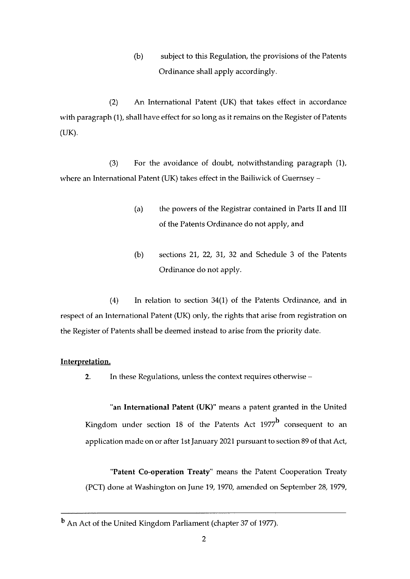(b) subject to this Regulation, the provisions of the Patents Ordinance shall apply accordingly.

(2) An International Patent (UK) that takes effect in accordance with paragraph (1), shall have effect for so long as it remains on the Register of Patents (UK).

(3) For the avoidance of doubt, notwithstanding paragraph (1), where an International Patent (UK) takes effect in the Bailiwick of Guernsey —

- (a) the powers of the Registrar contained in Parts II and III of the Patents Ordinance do not apply, and
- (b) sections 21, 22, 31, 32 and Schedule <sup>3</sup> of the Patents Ordinance do not apply.

(4) In relation to section 34(1) of the Patents Ordinance, and in respect of an International Patent (UK) only, the rights that arise from registration on the Register of Patents shall be deemed instead to arise from the priority date.

## Interpretation.

2. In these Regulations, unless the context requires otherwise —

"an International Patent (UK)' means <sup>a</sup> patent granted in the United Kingdom under section 18 of the Patents Act  $1977^b$  consequent to an application made on or after 1st January 2021 pursuant to section 89 of that Act,

Patent Co-operation Treaty" means the Patent Cooperation Treaty (PCT) done at Washington on June 19, 1970, amended on September 28, 1979,

<sup>b</sup> An Act of the United Kingdom Parliament (chapter 37 of 1977).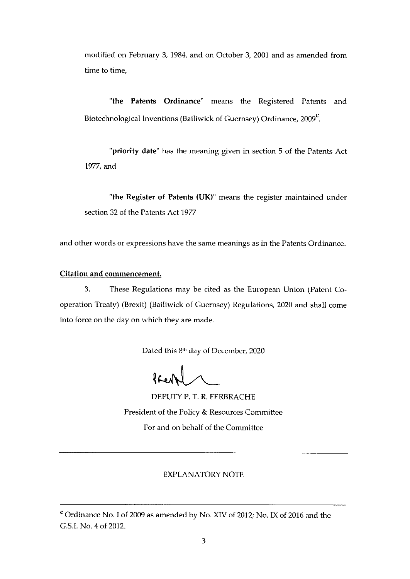modified on February 3, 1984, and on October 3, 2001 and as amended from time to time,

"the Patents Ordinance" means the Registered Patents and Biotechnological Inventions (Bailiwick of Guernsey) Ordinance, 2009<sup>°</sup>.

"priority date" has the meaning given in section 5 of the Patents Act 1977, and

"the Register of Patents (UK)" means the register maintained under section 32 of the Patents Act 1977

and other words or expressions have the same meanings as in the Patents Ordinance.

## Citation and commencement.

3. These Regulations may be cited as the European Union (Patent Co operation Treaty) (Brexit) (Bailiwick of Guernsey) Regulations, 2020 and shall come into force on the day on which they are made.

Dated this 8<sup>th</sup> day of December, 2020

DEPUTY P. T. R. FERBRACHE President of the Policy & Resources Committee For and on behalf of the Committee

## EXPIANATORY NOTE

<sup>c</sup> Ordinance No. <sup>I</sup> of 2009 as amended by No. XIV of 2012; No. IX of 2016 and the G.S.I. No. 4 of 2012.